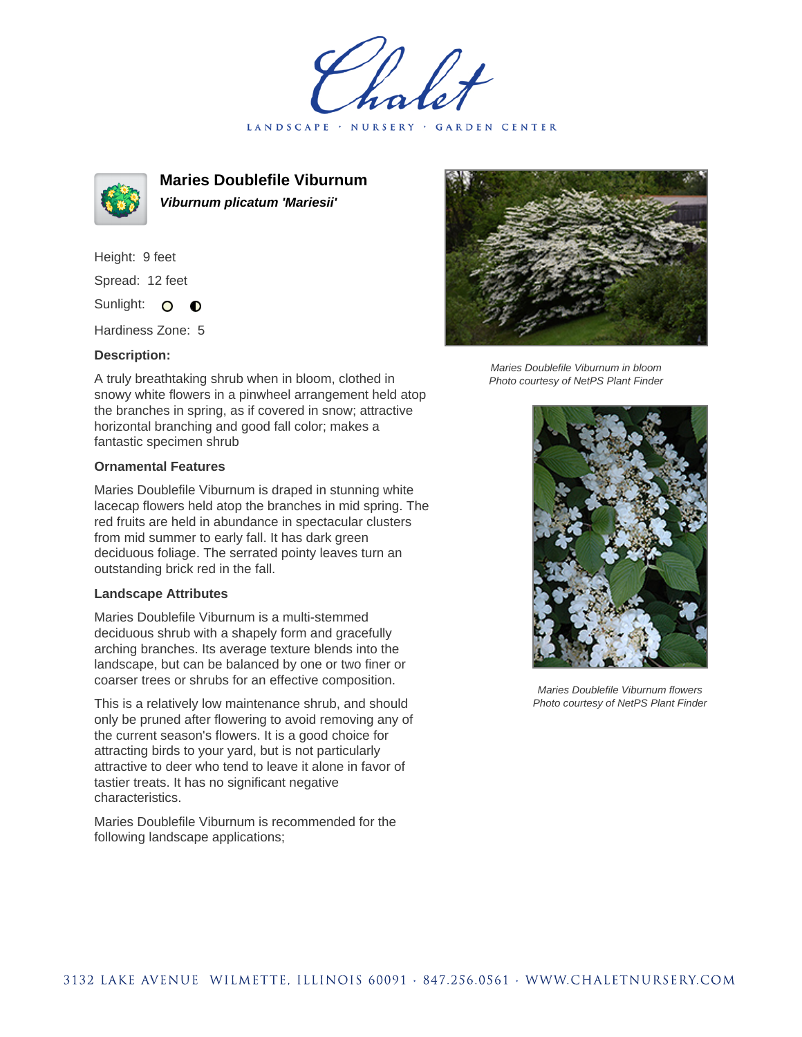LANDSCAPE · NURSERY · GARDEN CENTER



**Maries Doublefile Viburnum Viburnum plicatum 'Mariesii'**

Height: 9 feet Spread: 12 feet Sunlight: O  $\bullet$ 

Hardiness Zone: 5

## **Description:**

A truly breathtaking shrub when in bloom, clothed in snowy white flowers in a pinwheel arrangement held atop the branches in spring, as if covered in snow; attractive horizontal branching and good fall color; makes a fantastic specimen shrub

## **Ornamental Features**

Maries Doublefile Viburnum is draped in stunning white lacecap flowers held atop the branches in mid spring. The red fruits are held in abundance in spectacular clusters from mid summer to early fall. It has dark green deciduous foliage. The serrated pointy leaves turn an outstanding brick red in the fall.

## **Landscape Attributes**

Maries Doublefile Viburnum is a multi-stemmed deciduous shrub with a shapely form and gracefully arching branches. Its average texture blends into the landscape, but can be balanced by one or two finer or coarser trees or shrubs for an effective composition.

This is a relatively low maintenance shrub, and should only be pruned after flowering to avoid removing any of the current season's flowers. It is a good choice for attracting birds to your yard, but is not particularly attractive to deer who tend to leave it alone in favor of tastier treats. It has no significant negative characteristics.

Maries Doublefile Viburnum is recommended for the following landscape applications;



Maries Doublefile Viburnum in bloom Photo courtesy of NetPS Plant Finder



Maries Doublefile Viburnum flowers Photo courtesy of NetPS Plant Finder